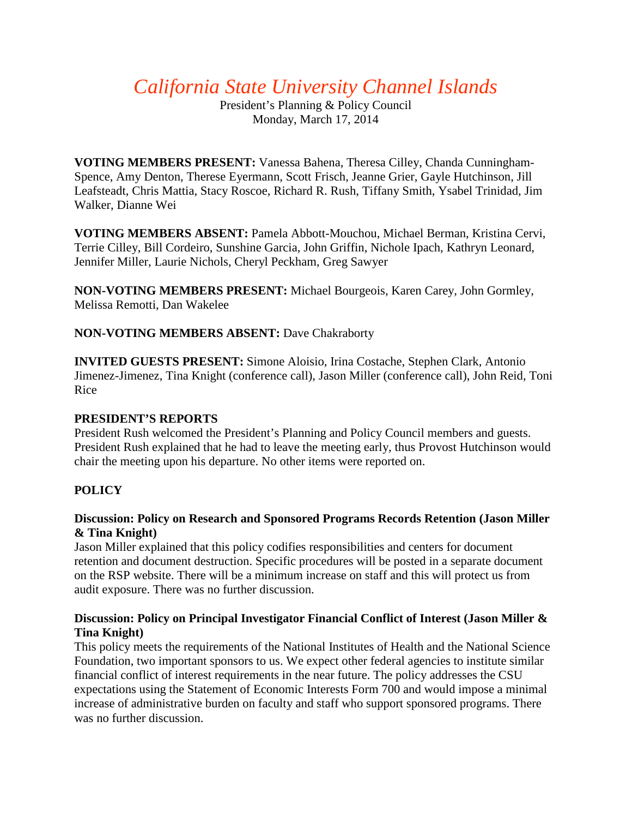*California State University Channel Islands*

President's Planning & Policy Council Monday, March 17, 2014

**VOTING MEMBERS PRESENT:** Vanessa Bahena, Theresa Cilley, Chanda Cunningham-Spence, Amy Denton, Therese Eyermann, Scott Frisch, Jeanne Grier, Gayle Hutchinson, Jill Leafsteadt, Chris Mattia, Stacy Roscoe, Richard R. Rush, Tiffany Smith, Ysabel Trinidad, Jim Walker, Dianne Wei

**VOTING MEMBERS ABSENT:** Pamela Abbott-Mouchou, Michael Berman, Kristina Cervi, Terrie Cilley, Bill Cordeiro, Sunshine Garcia, John Griffin, Nichole Ipach, Kathryn Leonard, Jennifer Miller, Laurie Nichols, Cheryl Peckham, Greg Sawyer

**NON-VOTING MEMBERS PRESENT:** Michael Bourgeois, Karen Carey, John Gormley, Melissa Remotti, Dan Wakelee

**NON-VOTING MEMBERS ABSENT:** Dave Chakraborty

**INVITED GUESTS PRESENT:** Simone Aloisio, Irina Costache, Stephen Clark, Antonio Jimenez-Jimenez, Tina Knight (conference call), Jason Miller (conference call), John Reid, Toni Rice

#### **PRESIDENT'S REPORTS**

President Rush welcomed the President's Planning and Policy Council members and guests. President Rush explained that he had to leave the meeting early, thus Provost Hutchinson would chair the meeting upon his departure. No other items were reported on.

# **POLICY**

#### **Discussion: Policy on Research and Sponsored Programs Records Retention (Jason Miller & Tina Knight)**

Jason Miller explained that this policy codifies responsibilities and centers for document retention and document destruction. Specific procedures will be posted in a separate document on the RSP website. There will be a minimum increase on staff and this will protect us from audit exposure. There was no further discussion.

# **Discussion: Policy on Principal Investigator Financial Conflict of Interest (Jason Miller & Tina Knight)**

This policy meets the requirements of the National Institutes of Health and the National Science Foundation, two important sponsors to us. We expect other federal agencies to institute similar financial conflict of interest requirements in the near future. The policy addresses the CSU expectations using the Statement of Economic Interests Form 700 and would impose a minimal increase of administrative burden on faculty and staff who support sponsored programs. There was no further discussion.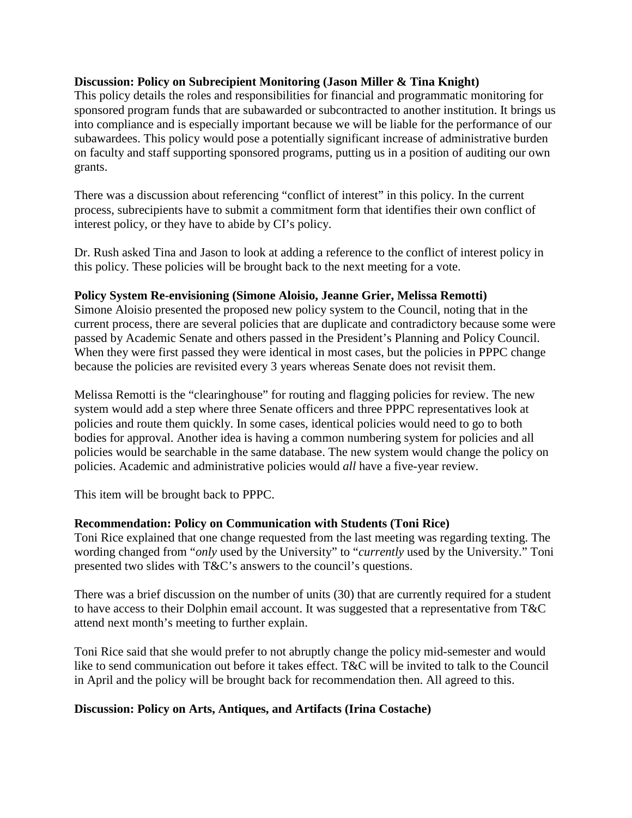#### **Discussion: Policy on Subrecipient Monitoring (Jason Miller & Tina Knight)**

This policy details the roles and responsibilities for financial and programmatic monitoring for sponsored program funds that are subawarded or subcontracted to another institution. It brings us into compliance and is especially important because we will be liable for the performance of our subawardees. This policy would pose a potentially significant increase of administrative burden on faculty and staff supporting sponsored programs, putting us in a position of auditing our own grants.

There was a discussion about referencing "conflict of interest" in this policy. In the current process, subrecipients have to submit a commitment form that identifies their own conflict of interest policy, or they have to abide by CI's policy.

Dr. Rush asked Tina and Jason to look at adding a reference to the conflict of interest policy in this policy. These policies will be brought back to the next meeting for a vote.

#### **Policy System Re-envisioning (Simone Aloisio, Jeanne Grier, Melissa Remotti)**

Simone Aloisio presented the proposed new policy system to the Council, noting that in the current process, there are several policies that are duplicate and contradictory because some were passed by Academic Senate and others passed in the President's Planning and Policy Council. When they were first passed they were identical in most cases, but the policies in PPPC change because the policies are revisited every 3 years whereas Senate does not revisit them.

Melissa Remotti is the "clearinghouse" for routing and flagging policies for review. The new system would add a step where three Senate officers and three PPPC representatives look at policies and route them quickly. In some cases, identical policies would need to go to both bodies for approval. Another idea is having a common numbering system for policies and all policies would be searchable in the same database. The new system would change the policy on policies. Academic and administrative policies would *all* have a five-year review.

This item will be brought back to PPPC.

# **Recommendation: Policy on Communication with Students (Toni Rice)**

Toni Rice explained that one change requested from the last meeting was regarding texting. The wording changed from "*only* used by the University" to "*currently* used by the University." Toni presented two slides with T&C's answers to the council's questions.

There was a brief discussion on the number of units (30) that are currently required for a student to have access to their Dolphin email account. It was suggested that a representative from T&C attend next month's meeting to further explain.

Toni Rice said that she would prefer to not abruptly change the policy mid-semester and would like to send communication out before it takes effect. T&C will be invited to talk to the Council in April and the policy will be brought back for recommendation then. All agreed to this.

# **Discussion: Policy on Arts, Antiques, and Artifacts (Irina Costache)**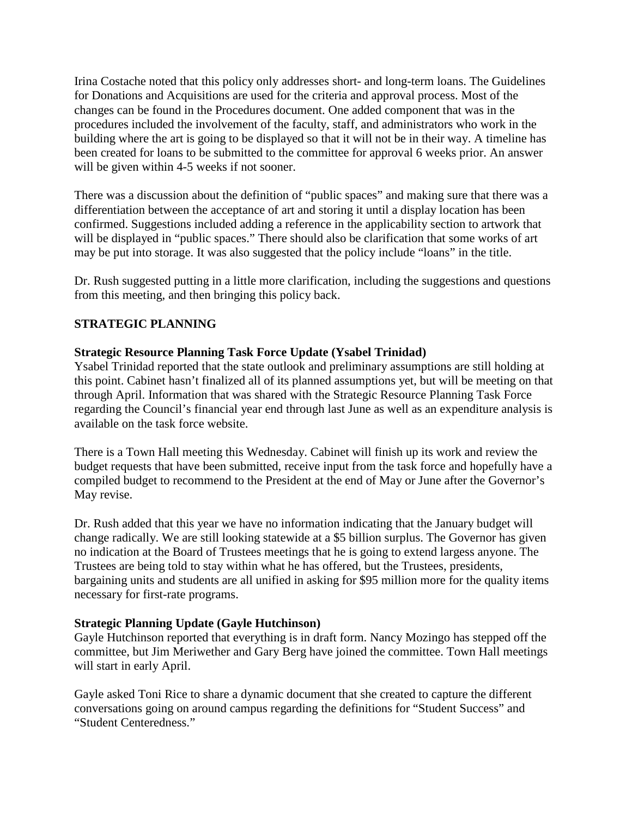Irina Costache noted that this policy only addresses short- and long-term loans. The Guidelines for Donations and Acquisitions are used for the criteria and approval process. Most of the changes can be found in the Procedures document. One added component that was in the procedures included the involvement of the faculty, staff, and administrators who work in the building where the art is going to be displayed so that it will not be in their way. A timeline has been created for loans to be submitted to the committee for approval 6 weeks prior. An answer will be given within 4-5 weeks if not sooner.

There was a discussion about the definition of "public spaces" and making sure that there was a differentiation between the acceptance of art and storing it until a display location has been confirmed. Suggestions included adding a reference in the applicability section to artwork that will be displayed in "public spaces." There should also be clarification that some works of art may be put into storage. It was also suggested that the policy include "loans" in the title.

Dr. Rush suggested putting in a little more clarification, including the suggestions and questions from this meeting, and then bringing this policy back.

# **STRATEGIC PLANNING**

# **Strategic Resource Planning Task Force Update (Ysabel Trinidad)**

Ysabel Trinidad reported that the state outlook and preliminary assumptions are still holding at this point. Cabinet hasn't finalized all of its planned assumptions yet, but will be meeting on that through April. Information that was shared with the Strategic Resource Planning Task Force regarding the Council's financial year end through last June as well as an expenditure analysis is available on the task force website.

There is a Town Hall meeting this Wednesday. Cabinet will finish up its work and review the budget requests that have been submitted, receive input from the task force and hopefully have a compiled budget to recommend to the President at the end of May or June after the Governor's May revise.

Dr. Rush added that this year we have no information indicating that the January budget will change radically. We are still looking statewide at a \$5 billion surplus. The Governor has given no indication at the Board of Trustees meetings that he is going to extend largess anyone. The Trustees are being told to stay within what he has offered, but the Trustees, presidents, bargaining units and students are all unified in asking for \$95 million more for the quality items necessary for first-rate programs.

# **Strategic Planning Update (Gayle Hutchinson)**

Gayle Hutchinson reported that everything is in draft form. Nancy Mozingo has stepped off the committee, but Jim Meriwether and Gary Berg have joined the committee. Town Hall meetings will start in early April.

Gayle asked Toni Rice to share a dynamic document that she created to capture the different conversations going on around campus regarding the definitions for "Student Success" and "Student Centeredness."